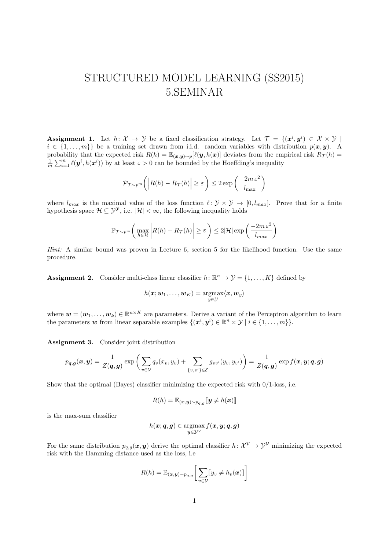## STRUCTURED MODEL LEARNING (SS2015) 5.SEMINAR

**Assignment 1.** Let  $h: \mathcal{X} \to \mathcal{Y}$  be a fixed classification strategy. Let  $\mathcal{T} = \{(\mathbf{x}^i, \mathbf{y}^i) \in \mathcal{X} \times \mathcal{Y} \mid \mathbf{z}^i\}$  $i \in \{1, \ldots, m\}$  be a training set drawn from i.i.d. random variables with distribution  $p(x, y)$ . A probability that the expected risk  $R(h) = \mathbb{E}_{(\mathbf{x}, \mathbf{y}) \sim p}[\ell(\mathbf{y}, h(\mathbf{x})]$  deviates from the empirical risk  $R_{\mathcal{T}}(h)$  $\frac{1}{m}\sum_{i=1}^m \ell(\bm{y}^i, h(\bm{x}^i))$  by at least  $\varepsilon > 0$  can be bounded by the Hoeffding's inequality

$$
\mathcal{P}_{\mathcal{T} \sim p^m} \left( \left| R(h) - R_{\mathcal{T}}(h) \right| \ge \varepsilon \right) \le 2 \exp \left( \frac{-2m \varepsilon^2}{l_{\max}} \right)
$$

where  $l_{max}$  is the maximal value of the loss function  $\ell : \mathcal{Y} \times \mathcal{Y} \to [0, l_{max}]$ . Prove that for a finite hypothesis space  $\mathcal{H} \subseteq \mathcal{Y}^{\mathcal{Y}}$ , i.e.  $|\mathcal{H}| < \infty$ , the following inequality holds

$$
\mathbb{P}_{\mathcal{T}\sim p^m} \left( \max_{h\in\mathcal{H}} \left| R(h) - R_{\mathcal{T}}(h) \right| \ge \varepsilon \right) \le 2|\mathcal{H}| \exp\left( \frac{-2m\,\varepsilon^2}{l_{max}} \right)
$$

Hint: A similar bound was proven in Lecture 6, section 5 for the likelihood function. Use the same procedure.

**Assignment 2.** Consider multi-class linear classifier  $h: \mathbb{R}^n \to \mathcal{Y} = \{1, ..., K\}$  defined by

$$
h(\boldsymbol{x};\boldsymbol{w}_1,\dots,\boldsymbol{w}_K)=\operatornamewithlimits{argmax}_{y\in\mathcal{Y}}\langle \boldsymbol{x},\boldsymbol{w}_y\rangle
$$

where  $\mathbf{w} = (\mathbf{w}_1, \dots, \mathbf{w}_k) \in \mathbb{R}^{n \times K}$  are parameters. Derive a variant of the Perceptron algorithm to learn the parameters w from linear separable examples  $\{(x^i, y^i) \in \mathbb{R}^n \times \mathcal{Y} \mid i \in \{1, \ldots, m\}\}.$ 

Assignment 3. Consider joint distribution

$$
p_{\boldsymbol{q},\boldsymbol{g}}(\boldsymbol{x},\boldsymbol{y}) = \frac{1}{Z(\boldsymbol{q},\boldsymbol{g})}\exp\bigg(\sum_{v\in\mathcal{V}}q_v(x_v,y_v) + \sum_{\{v,v'\}\in\mathcal{E}}g_{vv'}(y_v,y_{v'})\bigg) = \frac{1}{Z(\boldsymbol{q},\boldsymbol{g})}\exp f(\boldsymbol{x},\boldsymbol{y};\boldsymbol{q},\boldsymbol{g})
$$

Show that the optimal (Bayes) classifier minimizing the expected risk with  $0/1$ -loss, i.e.

$$
R(h) = \mathbb{E}_{(\boldsymbol{x}, \boldsymbol{y}) \sim p_{\boldsymbol{q}, \boldsymbol{g}}} [\![ \boldsymbol{y} \neq h(\boldsymbol{x}) ]\!]
$$

is the max-sum classifier

$$
h(\boldsymbol{x};\boldsymbol{q},\boldsymbol{g})\in\operatornamewithlimits{argmax}_{\boldsymbol{y}\in\mathcal{Y}^{\mathcal{V}}}f(\boldsymbol{x},\boldsymbol{y};\boldsymbol{q},\boldsymbol{g})
$$

For the same distribution  $p_{q,g}(x, y)$  derive the optimal classifier  $h: \mathcal{X}^{\mathcal{V}} \to \mathcal{Y}^{\mathcal{V}}$  minimizing the expected risk with the Hamming distance used as the loss, i.e

$$
R(h) = \mathbb{E}_{(\boldsymbol{x}, \boldsymbol{y}) \sim p_{\boldsymbol{q}, \boldsymbol{g}}} \bigg[ \sum_{v \in \mathcal{V}} [\![y_v \neq h_v(\boldsymbol{x})]\!] \bigg]
$$